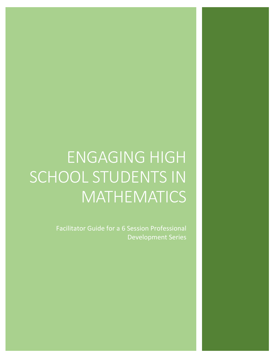# ENGAGING HIGH SCHOOL STUDENTS IN MATHEMATICS

Facilitator Guide for a 6 Session Professional Development Series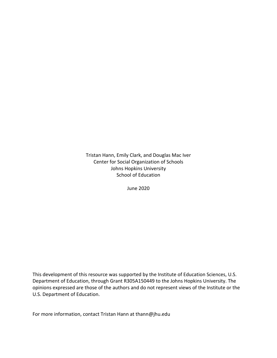Tristan Hann, Emily Clark, and Douglas Mac Iver Center for Social Organization of Schools Johns Hopkins University School of Education

June 2020

This development of this resource was supported by the Institute of Education Sciences, U.S. Department of Education, through Grant R305A150449 to the Johns Hopkins University. The opinions expressed are those of the authors and do not represent views of the Institute or the U.S. Department of Education.

For more information, contact Tristan Hann at thann@jhu.edu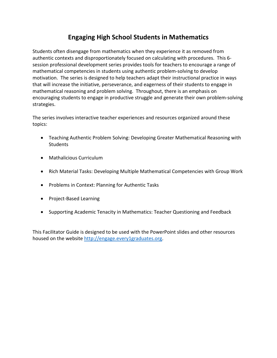# **Engaging High School Students in Mathematics**

Students often disengage from mathematics when they experience it as removed from authentic contexts and disproportionately focused on calculating with procedures. This 6 session professional development series provides tools for teachers to encourage a range of mathematical competencies in students using authentic problem-solving to develop motivation. The series is designed to help teachers adapt their instructional practice in ways that will increase the initiative, perseverance, and eagerness of their students to engage in mathematical reasoning and problem solving. Throughout, there is an emphasis on encouraging students to engage in productive struggle and generate their own problem-solving strategies.

The series involves interactive teacher experiences and resources organized around these topics:

- Teaching Authentic Problem Solving: Developing Greater Mathematical Reasoning with **Students**
- Mathalicious Curriculum
- Rich Material Tasks: Developing Multiple Mathematical Competencies with Group Work
- Problems in Context: Planning for Authentic Tasks
- Project-Based Learning
- Supporting Academic Tenacity in Mathematics: Teacher Questioning and Feedback

This Facilitator Guide is designed to be used with the PowerPoint slides and other resources housed on the website [http://engage.every1graduates.org.](http://engage.every1graduates.org/)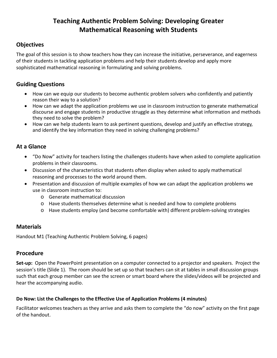# **Teaching Authentic Problem Solving: Developing Greater Mathematical Reasoning with Students**

# **Objectives**

The goal of this session is to show teachers how they can increase the initiative, perseverance, and eagerness of their students in tackling application problems and help their students develop and apply more sophisticated mathematical reasoning in formulating and solving problems.

# **Guiding Questions**

- How can we equip our students to become authentic problem solvers who confidently and patiently reason their way to a solution?
- How can we adapt the application problems we use in classroom instruction to generate mathematical discourse and engage students in productive struggle as they determine what information and methods they need to solve the problem?
- How can we help students learn to ask pertinent questions, develop and justify an effective strategy, and identify the key information they need in solving challenging problems?

# **At a Glance**

- "Do Now" activity for teachers listing the challenges students have when asked to complete application problems in their classrooms.
- Discussion of the characteristics that students often display when asked to apply mathematical reasoning and processes to the world around them.
- Presentation and discussion of multiple examples of how we can adapt the application problems we use in classroom instruction to:
	- o Generate mathematical discussion
	- o Have students themselves determine what is needed and how to complete problems
	- o Have students employ (and become comfortable with) different problem-solving strategies

# **Materials**

Handout M1 (Teaching Authentic Problem Solving, 6 pages)

### **Procedure**

**Set-up:** Open the PowerPoint presentation on a computer connected to a projector and speakers. Project the session's title (Slide 1). The room should be set up so that teachers can sit at tables in small discussion groups such that each group member can see the screen or smart board where the slides/videos will be projected and hear the accompanying audio.

### **Do Now: List the Challenges to the Effective Use of Application Problems (4 minutes)**

Facilitator welcomes teachers as they arrive and asks them to complete the "do now" activity on the first page of the handout.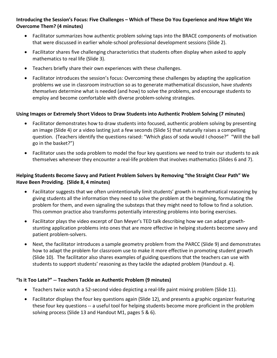### **Introducing the Session's Focus: Five Challenges – Which of These Do You Experience and How Might We Overcome Them? (4 minutes)**

- Facilitator summarizes how authentic problem solving taps into the BRACE components of motivation that were discussed in earlier whole-school professional development sessions (Slide 2).
- Facilitator shares five challenging characteristics that students often display when asked to apply mathematics to real life (Slide 3).
- Teachers briefly share their own experiences with these challenges.
- Facilitator introduces the session's focus: Overcoming these challenges by adapting the application problems we use in classroom instruction so as to generate mathematical discussion, have *students themselves* determine what is needed (and how) to solve the problems, and encourage students to employ and become comfortable with diverse problem-solving strategies.

### **Using Images or Extremely Short Videos to Draw Students into Authentic Problem Solving (7 minutes)**

- Facilitator demonstrates how to draw students into focused, authentic problem solving by presenting an image (Slide 4) or a video lasting just a few seconds (Slide 5) that naturally raises a compelling question. (Teachers identify the questions raised: "Which glass of soda would I choose?" "Will the ball go in the basket?")
- Facilitator uses the soda problem to model the four key questions we need to train our students to ask themselves whenever they encounter a real-life problem that involves mathematics (Slides 6 and 7).

### **Helping Students Become Savvy and Patient Problem Solvers by Removing "the Straight Clear Path" We Have Been Providing. (Slide 8, 4 minutes)**

- Facilitator suggests that we often unintentionally limit students' growth in mathematical reasoning by giving students all the information they need to solve the problem at the beginning, formulating the problem for them, and even signaling the substeps that they might need to follow to find a solution. This common practice also transforms potentially interesting problems into boring exercises.
- Facilitator plays the video excerpt of Dan Meyer's TED talk describing how we can adapt growthstunting application problems into ones that are more effective in helping students become savvy and patient problem-solvers.
- Next, the facilitator introduces a sample geometry problem from the PARCC (Slide 9) and demonstrates how to adapt the problem for classroom use to make it more effective in promoting student growth (Slide 10). The facilitator also shares examples of guiding questions that the teachers can use with students to support students' reasoning as they tackle the adapted problem (Handout p. 4).

### **"Is it Too Late?" -- Teachers Tackle an Authentic Problem (9 minutes)**

- Teachers twice watch a 52-second video depicting a real-life paint mixing problem (Slide 11).
- Facilitator displays the four key questions again (Slide 12), and presents a graphic organizer featuring these four key questions -- a useful tool for helping students become more proficient in the problem solving process (Slide 13 and Handout M1, pages 5 & 6).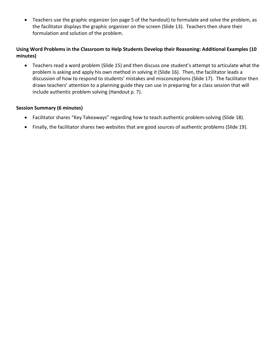• Teachers use the graphic organizer (on page 5 of the handout) to formulate and solve the problem, as the facilitator displays the graphic organizer on the screen (Slide 13). Teachers then share their formulation and solution of the problem.

### **Using Word Problems in the Classroom to Help Students Develop their Reasoning: Additional Examples (10 minutes)**

• Teachers read a word problem (Slide 15) and then discuss one student's attempt to articulate what the problem is asking and apply his own method in solving it (Slide 16). Then, the facilitator leads a discussion of how to respond to students' mistakes and misconceptions (Slide 17). The facilitator then draws teachers' attention to a planning guide they can use in preparing for a class session that will include authentic problem solving (Handout p. 7).

#### **Session Summary (6 minutes)**

- Facilitator shares "Key Takeaways" regarding how to teach authentic problem-solving (Slide 18).
- Finally, the facilitator shares two websites that are good sources of authentic problems (Slide 19).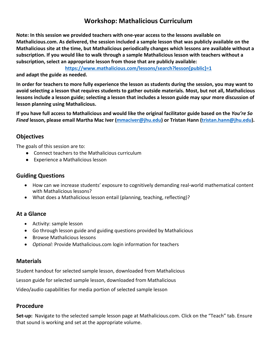# **Workshop: Mathalicious Curriculum**

**Note: In this session we provided teachers with one-year access to the lessons available on Mathalicious.com. As delivered, the session included a sample lesson that was publicly available on the Mathalicious site at the time, but Mathalicious periodically changes which lessons are available without a subscription. If you would like to walk through a sample Mathalicious lesson with teachers without a subscription, select an appropriate lesson from those that are publicly available:**

**[https://www.mathalicious.com/lessons/search?lesson\[public\]=1](https://www.mathalicious.com/lessons/search?lesson%5bpublic%5d=1)**

**and adapt the guide as needed.**

**In order for teachers to more fully experience the lesson as students during the session, you may want to avoid selecting a lesson that requires students to gather outside materials. Most, but not all, Mathalicious lessons include a lesson guide; selecting a lesson that includes a lesson guide may spur more discussion of lesson planning using Mathalicious.**

**If you have full access to Mathalicious and would like the original facilitator guide based on the** *You're So Fined* **lesson, please email Martha Mac Iver [\(mmaciver@jhu.edu\)](mailto:mmaciver@jhu.edu) or Tristan Hann [\(tristan.hann@jhu.edu\)](mailto:tristan.hann@jhu.edu).** 

# **Objectives**

The goals of this session are to:

- Connect teachers to the Mathalicious curriculum
- Experience a Mathalicious lesson

### **Guiding Questions**

- How can we increase students' exposure to cognitively demanding real-world mathematical content with Mathalicious lessons?
- What does a Mathalicious lesson entail (planning, teaching, reflecting)?

# **At a Glance**

- Activity: sample lesson
- Go through lesson guide and guiding questions provided by Mathalicious
- Browse Mathalicious lessons
- *Optional:* Provide Mathalicious.com login information for teachers

# **Materials**

Student handout for selected sample lesson, downloaded from Mathalicious

Lesson guide for selected sample lesson, downloaded from Mathalicious

Video/audio capabilities for media portion of selected sample lesson

# **Procedure**

**Set-up:** Navigate to the selected sample lesson page at Mathalicious.com. Click on the "Teach" tab. Ensure that sound is working and set at the appropriate volume.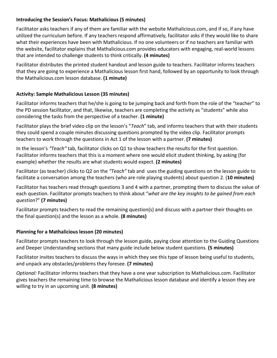### **Introducing the Session's Focus: Mathalicious (5 minutes)**

Facilitator asks teachers if any of them are familiar with the website Mathalicious.com, and if so, if any have utilized the curriculum before. If any teachers respond affirmatively, facilitator asks if they would like to share what their experiences have been with Mathalicious. If no one volunteers or if no teachers are familiar with the website, facilitator explains that Mathalicious.com provides educators with engaging, real-world lessons that are intended to challenge students to think critically. **(4 minutes)**

Facilitator distributes the printed student handout and lesson guide to teachers. Facilitator informs teachers that they are going to experience a Mathalicious lesson first hand, followed by an opportunity to look through the Mathalicious.com lesson database. **(1 minute)**

### **Activity: Sample Mathalicious Lesson (35 minutes)**

Facilitator informs teachers that he/she is going to be jumping back and forth from the role of the "teacher" to the PD session facilitator, and that, likewise, teachers are completing the activity as "students" while also considering the tasks from the perspective of a teacher. **(1 minute)**

Facilitator plays the brief video clip on the lesson's "*Teach*" tab, and informs teachers that with their students they could spend a couple minutes discussing questions prompted by the video clip. Facilitator prompts teachers to work through the questions in Act 1 of the lesson with a partner. **(7 minutes)**

In the lesson's *"Teach"* tab, facilitator clicks on Q1 to show teachers the results for the first question. Facilitator informs teachers that this is a moment where one would elicit student thinking, by asking (for example) whether the results are what students would expect. **(2 minutes)**

Facilitator (as teacher) clicks to Q2 on the *"Teach"* tab and uses the guiding questions on the lesson guide to facilitate a conversation among the teachers (who are role playing students) about question 2. (**10 minutes)**

Facilitator has teachers read through questions 3 and 4 with a partner, prompting them to discuss the value of each question. Facilitator prompts teachers to think about "*what are the key insights to be gained from each question*?" **(7 minutes)**

Facilitator prompts teachers to read the remaining question(s) and discuss with a partner their thoughts on the final question(s) and the lesson as a whole. **(8 minutes)**

### **Planning for a Mathalicious lesson (20 minutes)**

Facilitator prompts teachers to look through the lesson guide, paying close attention to the Guiding Questions and Deeper Understanding sections that many guide include below student questions. **(5 minutes)**

Facilitator invites teachers to discuss the ways in which they see this type of lesson being useful to students, and unpack any obstacles/problems they foresee. **(7 minutes)**

*Optional:* Facilitator informs teachers that they have a one year subscription to Mathalicious.com. Facilitator gives teachers the remaining time to browse the Mathalicious lesson database and identify a lesson they are willing to try in an upcoming unit. **(8 minutes)**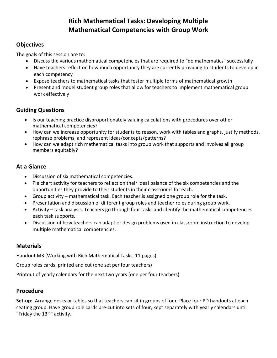# **Rich Mathematical Tasks: Developing Multiple Mathematical Competencies with Group Work**

# **Objectives**

The goals of this session are to:

- Discuss the various mathematical competencies that are required to "do mathematics" successfully
- Have teachers reflect on how much opportunity they are currently providing to students to develop in each competency
- Expose teachers to mathematical tasks that foster multiple forms of mathematical growth
- Present and model student group roles that allow for teachers to implement mathematical group work effectively

# **Guiding Questions**

- Is our teaching practice disproportionately valuing calculations with procedures over other mathematical competencies?
- How can we increase opportunity for students to reason, work with tables and graphs, justify methods, rephrase problems, and represent ideas/concepts/patterns?
- How can we adapt rich mathematical tasks into group work that supports and involves all group members equitably?

# **At a Glance**

- Discussion of six mathematical competencies.
- Pie chart activity for teachers to reflect on their ideal balance of the six competencies and the opportunities they provide to their students in their classrooms for each.
- Group activity mathematical task. Each teacher is assigned one group role for the task.
- Presentation and discussion of different group roles and teacher roles during group work.
- Activity task analysis. Teachers go through four tasks and identify the mathematical competencies each task supports.
- Discussion of how teachers can adapt or design problems used in classroom instruction to develop multiple mathematical competencies.

# **Materials**

Handout M3 (Working with Rich Mathematical Tasks, 11 pages)

Group roles cards, printed and cut (one set per four teachers)

Printout of yearly calendars for the next two years (one per four teachers)

# **Procedure**

**Set-up:** Arrange desks or tables so that teachers can sit in groups of four. Place four PD handouts at each seating group. Have group role cards pre-cut into sets of four, kept separately with yearly calendars until "Friday the  $13^{\text{th}}$ " activity.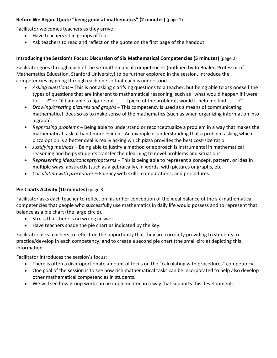### **Before We Begin: Quote "being good at mathematics" (2 minutes)** (page 1)

Facilitator welcomes teachers as they arrive

- Have teachers sit in groups of four.
- Ask teachers to read and reflect on the quote on the first page of the handout.

### **Introducing the Session's Focus: Discussion of Six Mathematical Competencies (5 minutes)** (page 2)

Facilitator goes through each of the six mathematical competencies (outlined by Jo Boaler, Professor of Mathematics Education, Stanford University) to be further explored in the session. Introduce the competencies by going through each one so that each is understood.

- *Asking questions* This is not asking clarifying questions to a teacher, but being able to ask oneself the types of questions that are inherent to mathematical reasoning, such as "what would happen if I were to ?" or "if I am able to figure out [piece of the problem], would it help me find ?"
- *Drawing/creating pictures and graphs* This competency is used as a means of communicating mathematical ideas so as to make sense of the mathematics (such as when organizing information into a graph).
- *Rephrasing problems* Being able to understand or reconceptualize a problem in a way that makes the mathematical task at hand more evident. An example is understanding that a problem asking which pizza option is a better deal is really asking which pizza provides the best cost-size ratio.
- *Justifying methods* Being able to justify a method or approach is instrumental in mathematical reasoning and helps students transfer their learning to novel problems and situations.
- *Representing ideas/concepts/patterns* This is being able to represent a concept, pattern, or idea in multiple ways: abstractly (such as algebraically), in words, with pictures or graphs, etc.
- *Calculating with procedures*  Fluency with skills, computations, and procedures.

### **Pie Charts Activity (10 minutes)** (page 3)

Facilitator asks each teacher to reflect on his or her conception of the ideal balance of the six mathematical competencies that people who successfully use mathematics in daily life would possess and to represent that balance as a pie chart (the large circle).

- Stress that there is no wrong answer.
- Have teachers shade the pie chart as indicated by the key.

Facilitator asks teachers to reflect on the opportunity that they are currently providing to students to practice/develop in each competency, and to create a second pie chart (the small circle) depicting this information.

Facilitator introduces the session's focus:

- There is often a disproportionate amount of focus on the "calculating with procedures" competency.
- One goal of the session is to see how rich mathematical tasks can be incorporated to help also develop other mathematical competencies in students.
- We will see how group work can be implemented in a way that supports this development.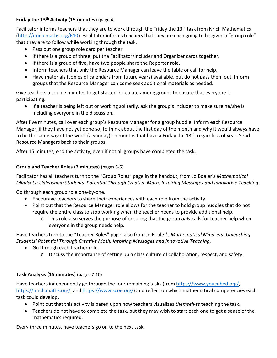### **Friday the 13th Activity (15 minutes)** (page 4)

Facilitator informs teachers that they are to work through the Friday the 13<sup>th</sup> task from Nrich Mathematics [\(http://nrich.maths.org/610\)](http://nrich.maths.org/610). Facilitator informs teachers that they are each going to be given a "group role" that they are to follow while working through the task.

- Pass out one group role card per teacher.
- If there is a group of three, put the Facilitator/Includer and Organizer cards together.
- If there is a group of five, have two people share the Reporter role.
- Inform teachers that only the Resource Manager can leave the table or call for help.
- Have materials (copies of calendars from future years) available, but do not pass them out. Inform groups that the Resource Manager can come seek additional materials as needed.

Give teachers a couple minutes to get started. Circulate among groups to ensure that everyone is participating.

• If a teacher is being left out or working solitarily, ask the group's Includer to make sure he/she is including everyone in the discussion.

After five minutes, call over each group's Resource Manager for a group huddle. Inform each Resource Manager, if they have not yet done so, to think about the first day of the month and why it would always have to be the same *day* of the week (a Sunday) on months that have a Friday the 13th, regardless of year. Send Resource Managers back to their groups.

After 15 minutes, end the activity, even if not all groups have completed the task.

### **Group and Teacher Roles (7 minutes)** (pages 5-6)

Facilitator has all teachers turn to the "Group Roles" page in the handout, from Jo Boaler's *Mathematical Mindsets: Unleashing Students' Potential Through Creative Math, Inspiring Messages and Innovative Teaching*.

Go through each group role one-by-one.

- Encourage teachers to share their experiences with each role from the activity.
- Point out that the Resource Manager role allows for the teacher to hold group huddles that do not require the entire class to stop working when the teacher needs to provide additional help.
	- o This role also serves the purpose of ensuring that the group *only* calls for teacher help when everyone in the group needs help.

Have teachers turn to the "Teacher Roles" page, also from Jo Boaler's *Mathematical Mindsets: Unleashing Students' Potential Through Creative Math, Inspiring Messages and Innovative Teaching*.

- Go through each teacher role.
	- o Discuss the importance of setting up a class culture of collaboration, respect, and safety.

### **Task Analysis (15 minutes)** (pages 7-10)

Have teachers independently go through the four remaining tasks (from [https://www.youcubed.org/,](https://www.youcubed.org/) [https://nrich.maths.org/,](https://nrich.maths.org/) and [https://www.scoe.org/\)](https://www.scoe.org/) and reflect on which mathematical competencies each task could develop.

- Point out that this activity is based upon how teachers visualizes *themselves* teaching the task.
- Teachers do not have to complete the task, but they may wish to start each one to get a sense of the mathematics required.

Every three minutes, have teachers go on to the next task.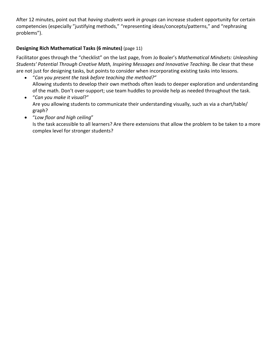After 12 minutes, point out that *having students work in groups* can increase student opportunity for certain competencies (especially "justifying methods," "representing ideas/concepts/patterns," and "rephrasing problems").

# **Designing Rich Mathematical Tasks (6 minutes)** (page 11)

Facilitator goes through the "checklist" on the last page, from Jo Boaler's *Mathematical Mindsets: Unleashing Students' Potential Through Creative Math, Inspiring Messages and Innovative Teaching*. Be clear that these are not just for designing tasks, but points to consider when incorporating existing tasks into lessons.

- "*Can you present the task before teaching the method?"* Allowing students to develop their own methods often leads to deeper exploration and understanding of the math. Don't over-support; use team huddles to provide help as needed throughout the task.
- "*Can you make it visual*?" Are you allowing students to communicate their understanding visually, such as via a chart/table/ graph?
- "*Low floor and high ceiling*"

Is the task accessible to all learners? Are there extensions that allow the problem to be taken to a more complex level for stronger students?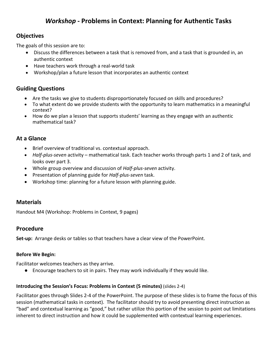# *Workshop* **- Problems in Context: Planning for Authentic Tasks**

### **Objectives**

The goals of this session are to:

- Discuss the differences between a task that is removed from, and a task that is grounded in, an authentic context
- Have teachers work through a real-world task
- Workshop/plan a future lesson that incorporates an authentic context

# **Guiding Questions**

- Are the tasks we give to students disproportionately focused on skills and procedures?
- To what extent do we provide students with the opportunity to learn mathematics in a meaningful context?
- How do we plan a lesson that supports students' learning as they engage with an authentic mathematical task?

# **At a Glance**

- Brief overview of traditional vs. contextual approach.
- *Half-plus-seven* activity mathematical task. Each teacher works through parts 1 and 2 of task, and looks over part 3.
- Whole group overview and discussion of *Half-plus-seven* activity.
- Presentation of planning guide for *Half-plus-seven* task.
- Workshop time: planning for a future lesson with planning guide.

# **Materials**

Handout M4 (Workshop: Problems in Context, 9 pages)

### **Procedure**

**Set-up:** Arrange desks or tables so that teachers have a clear view of the PowerPoint.

### **Before We Begin:**

Facilitator welcomes teachers as they arrive.

● Encourage teachers to sit in pairs. They may work individually if they would like.

### **Introducing the Session's Focus: Problems in Context (5 minutes)** (slides 2-4)

Facilitator goes through Slides 2-4 of the PowerPoint. The purpose of these slides is to frame the focus of this session (mathematical tasks in context). The facilitator should try to avoid presenting direct instruction as "bad" and contextual learning as "good," but rather utilize this portion of the session to point out limitations inherent to direct instruction and how it could be supplemented with contextual learning experiences.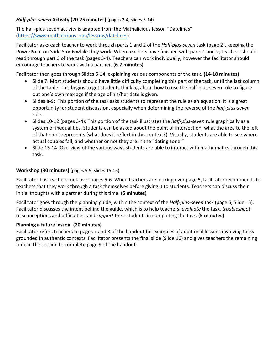### *Half-plus-seven* **Activity (20-25 minutes)** (pages 2-4, slides 5-14)

The half-plus-seven activity is adapted from the Mathalicious lesson "Datelines" [\(https://www.mathalicious.com/lessons/datelines\)](https://www.mathalicious.com/lessons/datelines)

Facilitator asks each teacher to work through parts 1 and 2 of the *Half-plus-seven* task (page 2), keeping the PowerPoint on Slide 5 or 6 while they work. When teachers have finished with parts 1 and 2, teachers should read through part 3 of the task (pages 3-4). Teachers can work individually, however the facilitator should encourage teachers to work with a partner. **(6-7 minutes)**

Facilitator then goes through Slides 6-14, explaining various components of the task. **(14-18 minutes)**

- Slide 7: Most students should have little difficulty completing this part of the task, until the last column of the table. This begins to get students thinking about how to use the half-plus-seven rule to figure out one's own max age if the age of his/her date is given.
- Slides 8-9: This portion of the task asks students to represent the rule as an equation. It is a great opportunity for student discussion, especially when determining the reverse of the *half-plus-seven* rule.
- Slides 10-12 (pages 3-4): This portion of the task illustrates the *half-plus-seven* rule graphically as a system of inequalities. Students can be asked about the point of intersection, what the area to the left of that point represents (what does it reflect in this context?). Visually, students are able to see where actual couples fall, and whether or not they are in the "dating zone."
- Slide 13-14: Overview of the various ways students are able to interact with mathematics through this task.

### **Workshop (30 minutes)** (pages 5-9, slides 15-16)

Facilitator has teachers look over pages 5-6. When teachers are looking over page 5, facilitator recommends to teachers that they work through a task themselves before giving it to students. Teachers can discuss their initial thoughts with a partner during this time. **(5 minutes)**

Facilitator goes through the planning guide, within the context of the *Half-plus-seven* task (page 6, Slide 15). Facilitator discusses the intent behind the guide, which is to help teachers: *evaluate* the task, *troubleshoot* misconceptions and difficulties, and *support* their students in completing the task. **(5 minutes)**

### **Planning a future lesson. (20 minutes)**

Facilitator refers teachers to pages 7 and 8 of the handout for examples of additional lessons involving tasks grounded in authentic contexts. Facilitator presents the final slide (Slide 16) and gives teachers the remaining time in the session to complete page 9 of the handout.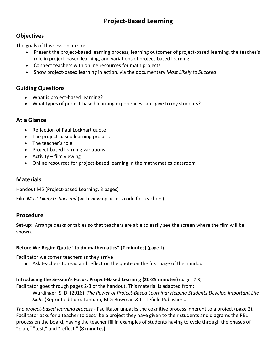# **Project-Based Learning**

# **Objectives**

The goals of this session are to:

- Present the project-based learning process, learning outcomes of project-based learning, the teacher's role in project-based learning, and variations of project-based learning
- Connect teachers with online resources for math projects
- Show project-based learning in action, via the documentary *Most Likely to Succeed*

# **Guiding Questions**

- What is project-based learning?
- What types of project-based learning experiences can I give to my students?

# **At a Glance**

- Reflection of Paul Lockhart quote
- The project-based learning process
- The teacher's role
- Project-based learning variations
- Activity film viewing
- Online resources for project-based learning in the mathematics classroom

# **Materials**

Handout M5 (Project-based Learning, 3 pages)

Film *Most Likely to Succeed* (with viewing access code for teachers)

# **Procedure**

**Set-up:** Arrange desks or tables so that teachers are able to easily see the screen where the film will be shown.

# **Before We Begin: Quote "to do mathematics" (2 minutes)** (page 1)

Facilitator welcomes teachers as they arrive

● Ask teachers to read and reflect on the quote on the first page of the handout.

### **Introducing the Session's Focus: Project-Based Learning (20-25 minutes)** (pages 2-3)

Facilitator goes through pages 2-3 of the handout. This material is adapted from:

Wurdinger, S. D. (2016). *The Power of Project-Based Learning: Helping Students Develop Important Life Skills* (Reprint edition). Lanham, MD: Rowman & Littlefield Publishers.

*The project-based learning process* - Facilitator unpacks the cognitive process inherent to a project (page 2). Facilitator asks for a teacher to describe a project they have given to their students and diagrams the PBL process on the board, having the teacher fill in examples of students having to cycle through the phases of "plan," "test," and "reflect." **(8 minutes)**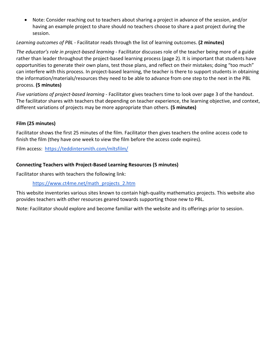• Note: Consider reaching out to teachers about sharing a project in advance of the session, and/or having an example project to share should no teachers choose to share a past project during the session.

### *Learning outcomes of PBL* - Facilitator reads through the list of learning outcomes. **(2 minutes)**

*The educator's role in project-based learning* - Facilitator discusses role of the teacher being more of a guide rather than leader throughout the project-based learning process (page 2). It is important that students have opportunities to generate their own plans, test those plans, and reflect on their mistakes; doing "too much" can interfere with this process. In project-based learning, the teacher is there to support students in obtaining the information/materials/resources they need to be able to advance from one step to the next in the PBL process. **(5 minutes)**

*Five variations of project-based learning* - Facilitator gives teachers time to look over page 3 of the handout. The facilitator shares with teachers that depending on teacher experience, the learning objective, and context, different variations of projects may be more appropriate than others. **(5 minutes)**

### **Film (25 minutes)**

Facilitator shows the first 25 minutes of the film. Facilitator then gives teachers the online access code to finish the film (they have one week to view the film before the access code expires).

Film access: <https://teddintersmith.com/mltsfilm/>

### **Connecting Teachers with Project-Based Learning Resources (5 minutes)**

Facilitator shares with teachers the following link:

[https://www.ct4me.net/math\\_projects\\_2.htm](https://www.ct4me.net/math_projects_2.htm)

This website inventories various sites known to contain high-quality mathematics projects. This website also provides teachers with other resources geared towards supporting those new to PBL.

Note: Facilitator should explore and become familiar with the website and its offerings prior to session.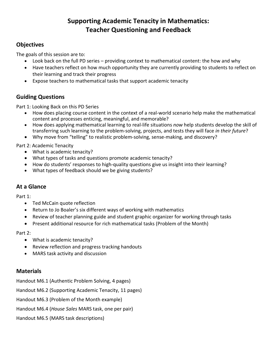# **Supporting Academic Tenacity in Mathematics: Teacher Questioning and Feedback**

# **Objectives**

The goals of this session are to:

- Look back on the full PD series providing context to mathematical content: the how and why
- Have teachers reflect on how much opportunity they are currently providing to students to reflect on their learning and track their progress
- Expose teachers to mathematical tasks that support academic tenacity

# **Guiding Questions**

Part 1: Looking Back on this PD Series

- How does placing course content in the context of a real-world scenario help make the mathematical content and processes enticing, meaningful, and memorable?
- How does applying mathematical learning to real-life situations *now* help students develop the skill of transferring such learning to the problem-solving, projects, and tests they will face *in their future*?
- Why move from "telling" to realistic problem-solving, sense-making, and discovery?

Part 2: Academic Tenacity

- What is academic tenacity?
- What types of tasks and questions promote academic tenacity?
- How do students' responses to high-quality questions give us insight into their learning?
- What types of feedback should we be giving students?

# **At a Glance**

Part 1:

- Ted McCain quote reflection
- Return to Jo Boaler's six different ways of working with mathematics
- Review of teacher planning guide and student graphic organizer for working through tasks
- Present additional resource for rich mathematical tasks (Problem of the Month)

Part 2:

- What is academic tenacity?
- Review reflection and progress tracking handouts
- MARS task activity and discussion

### **Materials**

Handout M6.1 (Authentic Problem Solving, 4 pages)

Handout M6.2 (Supporting Academic Tenacity, 11 pages)

Handout M6.3 (Problem of the Month example)

Handout M6.4 (*House Sales* MARS task, one per pair)

Handout M6.5 (MARS task descriptions)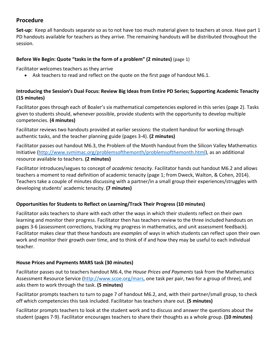# **Procedure**

**Set-up:** Keep all handouts separate so as to not have too much material given to teachers at once. Have part 1 PD handouts available for teachers as they arrive. The remaining handouts will be distributed throughout the session.

### **Before We Begin: Quote "tasks in the form of a problem" (2 minutes)** (page 1)

Facilitator welcomes teachers as they arrive

• Ask teachers to read and reflect on the quote on the first page of handout M6.1.

### **Introducing the Session's Dual Focus: Review Big Ideas from Entire PD Series; Supporting Academic Tenacity (15 minutes)**

Facilitator goes through each of Boaler's six mathematical competencies explored in this series (page 2). Tasks given to students should, whenever possible, provide students with the opportunity to develop multiple competencies. **(4 minutes)**

Facilitator reviews two handouts provided at earlier sessions: the student handout for working through authentic tasks, and the teacher planning guide (pages 3-4). **(2 minutes)**

Facilitator passes out handout M6.3, the Problem of the Month handout from the Silicon Valley Mathematics Initiative [\(http://www.svmimac.org/problemsofthemonth/problemsofthemonth.html\)](http://www.svmimac.org/problemsofthemonth/problemsofthemonth.html), as an additional resource available to teachers. **(2 minutes)**

Facilitator introduces/segues to concept of *academic tenacity*. Facilitator hands out handout M6.2 and allows teachers a moment to read definition of academic tenacity (page 1; from Dweck, Walton, & Cohen, 2014). Teachers take a couple of minutes discussing with a partner/in a small group their experiences/struggles with developing students' academic tenacity. **(7 minutes)**

### **Opportunities for Students to Reflect on Learning/Track Their Progress (10 minutes)**

Facilitator asks teachers to share with each other the ways in which their students reflect on their own learning and monitor their progress. Facilitator then has teachers review to the three included handouts on pages 3-6 (assessment corrections, tracking my progress in mathematics, and unit assessment feedback). Facilitator makes clear that these handouts are *examples* of ways in which students can reflect upon their own work and monitor their growth over time, and to think of if and how they may be useful to each individual teacher.

### **House Prices and Payments MARS task (30 minutes)**

Facilitator passes out to teachers handout M6.4, the *House Prices and Payments* task from the Mathematics Assessment Resource Service [\(http://www.scoe.org/mars,](http://www.scoe.org/mars) one task per pair, two for a group of three), and asks them to work through the task. **(5 minutes)**

Facilitator prompts teachers to turn to page 7 of handout M6.2, and, with their partner/small group, to check off which competencies this task included. Facilitator has teachers share out. **(5 minutes)**

Facilitator prompts teachers to look at the student work and to discuss and answer the questions about the student (pages 7-9). Facilitator encourages teachers to share their thoughts as a whole group. **(10 minutes)**